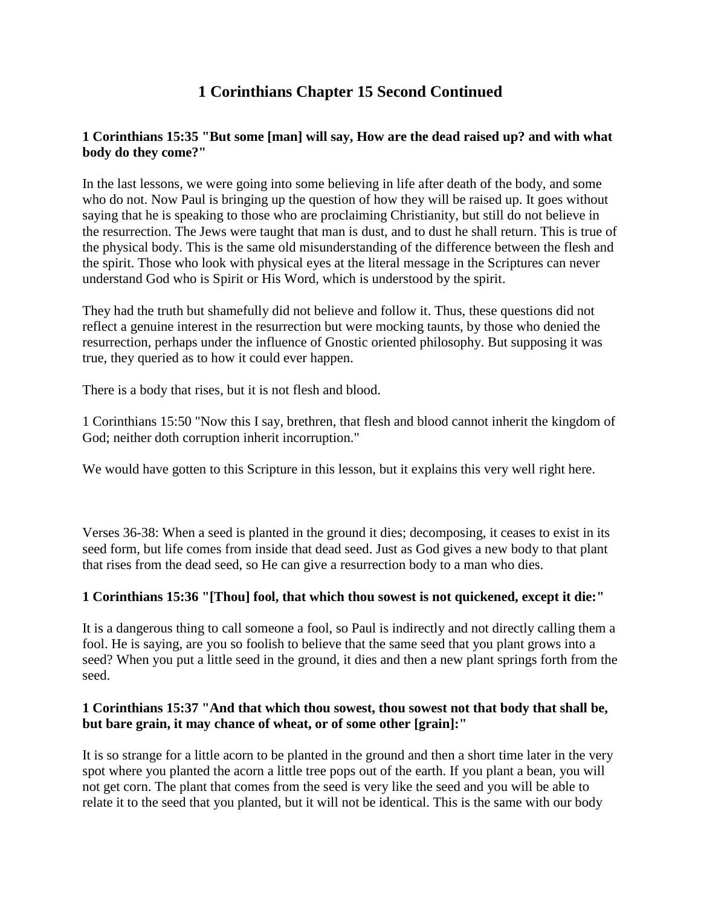# **1 Corinthians Chapter 15 Second Continued**

# **1 Corinthians 15:35 "But some [man] will say, How are the dead raised up? and with what body do they come?"**

In the last lessons, we were going into some believing in life after death of the body, and some who do not. Now Paul is bringing up the question of how they will be raised up. It goes without saying that he is speaking to those who are proclaiming Christianity, but still do not believe in the resurrection. The Jews were taught that man is dust, and to dust he shall return. This is true of the physical body. This is the same old misunderstanding of the difference between the flesh and the spirit. Those who look with physical eyes at the literal message in the Scriptures can never understand God who is Spirit or His Word, which is understood by the spirit.

They had the truth but shamefully did not believe and follow it. Thus, these questions did not reflect a genuine interest in the resurrection but were mocking taunts, by those who denied the resurrection, perhaps under the influence of Gnostic oriented philosophy. But supposing it was true, they queried as to how it could ever happen.

There is a body that rises, but it is not flesh and blood.

1 Corinthians 15:50 "Now this I say, brethren, that flesh and blood cannot inherit the kingdom of God; neither doth corruption inherit incorruption."

We would have gotten to this Scripture in this lesson, but it explains this very well right here.

Verses 36-38: When a seed is planted in the ground it dies; decomposing, it ceases to exist in its seed form, but life comes from inside that dead seed. Just as God gives a new body to that plant that rises from the dead seed, so He can give a resurrection body to a man who dies.

# **1 Corinthians 15:36 "[Thou] fool, that which thou sowest is not quickened, except it die:"**

It is a dangerous thing to call someone a fool, so Paul is indirectly and not directly calling them a fool. He is saying, are you so foolish to believe that the same seed that you plant grows into a seed? When you put a little seed in the ground, it dies and then a new plant springs forth from the seed.

# **1 Corinthians 15:37 "And that which thou sowest, thou sowest not that body that shall be, but bare grain, it may chance of wheat, or of some other [grain]:"**

It is so strange for a little acorn to be planted in the ground and then a short time later in the very spot where you planted the acorn a little tree pops out of the earth. If you plant a bean, you will not get corn. The plant that comes from the seed is very like the seed and you will be able to relate it to the seed that you planted, but it will not be identical. This is the same with our body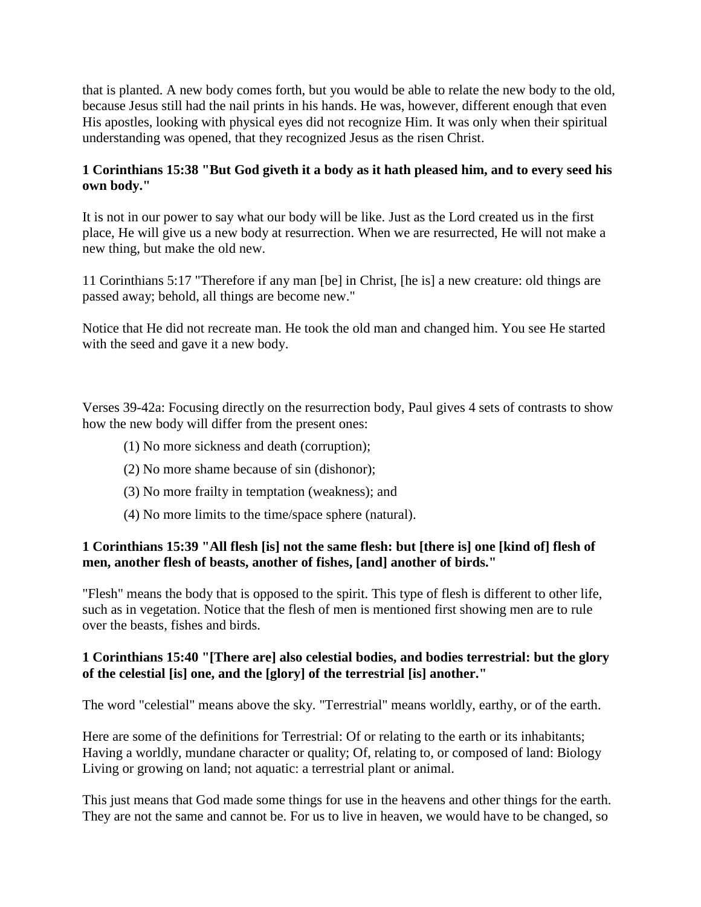that is planted. A new body comes forth, but you would be able to relate the new body to the old, because Jesus still had the nail prints in his hands. He was, however, different enough that even His apostles, looking with physical eyes did not recognize Him. It was only when their spiritual understanding was opened, that they recognized Jesus as the risen Christ.

# **1 Corinthians 15:38 "But God giveth it a body as it hath pleased him, and to every seed his own body."**

It is not in our power to say what our body will be like. Just as the Lord created us in the first place, He will give us a new body at resurrection. When we are resurrected, He will not make a new thing, but make the old new.

11 Corinthians 5:17 "Therefore if any man [be] in Christ, [he is] a new creature: old things are passed away; behold, all things are become new."

Notice that He did not recreate man. He took the old man and changed him. You see He started with the seed and gave it a new body.

Verses 39-42a: Focusing directly on the resurrection body, Paul gives 4 sets of contrasts to show how the new body will differ from the present ones:

- (1) No more sickness and death (corruption);
- (2) No more shame because of sin (dishonor);
- (3) No more frailty in temptation (weakness); and
- (4) No more limits to the time/space sphere (natural).

#### **1 Corinthians 15:39 "All flesh [is] not the same flesh: but [there is] one [kind of] flesh of men, another flesh of beasts, another of fishes, [and] another of birds."**

"Flesh" means the body that is opposed to the spirit. This type of flesh is different to other life, such as in vegetation. Notice that the flesh of men is mentioned first showing men are to rule over the beasts, fishes and birds.

#### **1 Corinthians 15:40 "[There are] also celestial bodies, and bodies terrestrial: but the glory of the celestial [is] one, and the [glory] of the terrestrial [is] another."**

The word "celestial" means above the sky. "Terrestrial" means worldly, earthy, or of the earth.

Here are some of the definitions for Terrestrial: Of or relating to the earth or its inhabitants; Having a worldly, mundane character or quality; Of, relating to, or composed of land: Biology Living or growing on land; not aquatic: a terrestrial plant or animal.

This just means that God made some things for use in the heavens and other things for the earth. They are not the same and cannot be. For us to live in heaven, we would have to be changed, so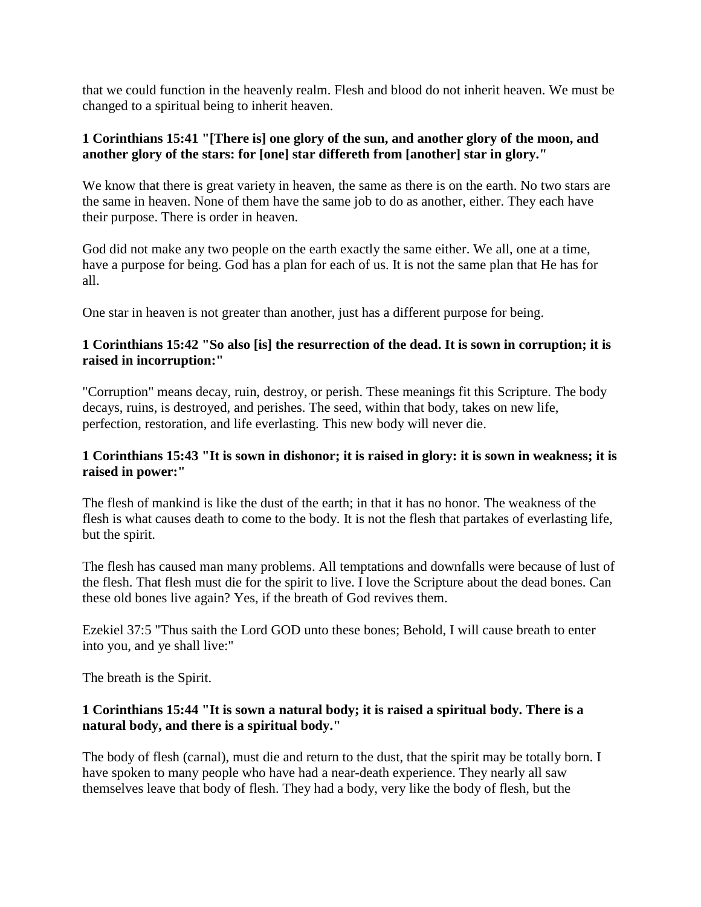that we could function in the heavenly realm. Flesh and blood do not inherit heaven. We must be changed to a spiritual being to inherit heaven.

#### **1 Corinthians 15:41 "[There is] one glory of the sun, and another glory of the moon, and another glory of the stars: for [one] star differeth from [another] star in glory."**

We know that there is great variety in heaven, the same as there is on the earth. No two stars are the same in heaven. None of them have the same job to do as another, either. They each have their purpose. There is order in heaven.

God did not make any two people on the earth exactly the same either. We all, one at a time, have a purpose for being. God has a plan for each of us. It is not the same plan that He has for all.

One star in heaven is not greater than another, just has a different purpose for being.

#### **1 Corinthians 15:42 "So also [is] the resurrection of the dead. It is sown in corruption; it is raised in incorruption:"**

"Corruption" means decay, ruin, destroy, or perish. These meanings fit this Scripture. The body decays, ruins, is destroyed, and perishes. The seed, within that body, takes on new life, perfection, restoration, and life everlasting. This new body will never die.

#### **1 Corinthians 15:43 "It is sown in dishonor; it is raised in glory: it is sown in weakness; it is raised in power:"**

The flesh of mankind is like the dust of the earth; in that it has no honor. The weakness of the flesh is what causes death to come to the body. It is not the flesh that partakes of everlasting life, but the spirit.

The flesh has caused man many problems. All temptations and downfalls were because of lust of the flesh. That flesh must die for the spirit to live. I love the Scripture about the dead bones. Can these old bones live again? Yes, if the breath of God revives them.

Ezekiel 37:5 "Thus saith the Lord GOD unto these bones; Behold, I will cause breath to enter into you, and ye shall live:"

The breath is the Spirit.

#### **1 Corinthians 15:44 "It is sown a natural body; it is raised a spiritual body. There is a natural body, and there is a spiritual body."**

The body of flesh (carnal), must die and return to the dust, that the spirit may be totally born. I have spoken to many people who have had a near-death experience. They nearly all saw themselves leave that body of flesh. They had a body, very like the body of flesh, but the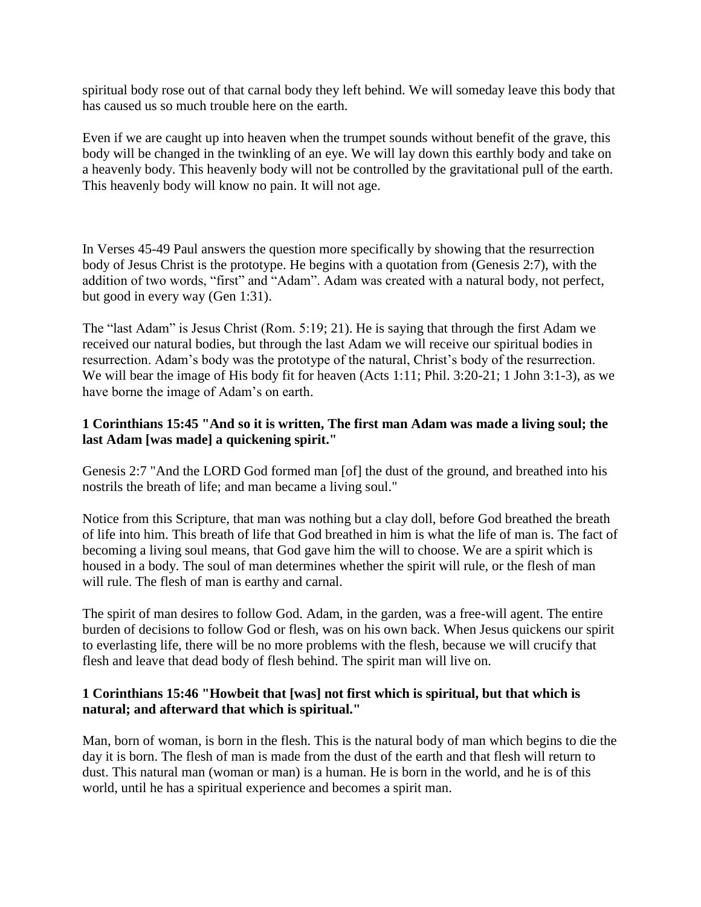spiritual body rose out of that carnal body they left behind. We will someday leave this body that has caused us so much trouble here on the earth.

Even if we are caught up into heaven when the trumpet sounds without benefit of the grave, this body will be changed in the twinkling of an eye. We will lay down this earthly body and take on a heavenly body. This heavenly body will not be controlled by the gravitational pull of the earth. This heavenly body will know no pain. It will not age.

In Verses 45-49 Paul answers the question more specifically by showing that the resurrection body of Jesus Christ is the prototype. He begins with a quotation from (Genesis 2:7), with the addition of two words, "first" and "Adam". Adam was created with a natural body, not perfect, but good in every way (Gen 1:31).

The "last Adam" is Jesus Christ (Rom. 5:19; 21). He is saying that through the first Adam we received our natural bodies, but through the last Adam we will receive our spiritual bodies in resurrection. Adam's body was the prototype of the natural, Christ's body of the resurrection. We will bear the image of His body fit for heaven (Acts 1:11; Phil. 3:20-21; 1 John 3:1-3), as we have borne the image of Adam's on earth.

#### **1 Corinthians 15:45 "And so it is written, The first man Adam was made a living soul; the last Adam [was made] a quickening spirit."**

Genesis 2:7 "And the LORD God formed man [of] the dust of the ground, and breathed into his nostrils the breath of life; and man became a living soul."

Notice from this Scripture, that man was nothing but a clay doll, before God breathed the breath of life into him. This breath of life that God breathed in him is what the life of man is. The fact of becoming a living soul means, that God gave him the will to choose. We are a spirit which is housed in a body. The soul of man determines whether the spirit will rule, or the flesh of man will rule. The flesh of man is earthy and carnal.

The spirit of man desires to follow God. Adam, in the garden, was a free-will agent. The entire burden of decisions to follow God or flesh, was on his own back. When Jesus quickens our spirit to everlasting life, there will be no more problems with the flesh, because we will crucify that flesh and leave that dead body of flesh behind. The spirit man will live on.

# **1 Corinthians 15:46 "Howbeit that [was] not first which is spiritual, but that which is natural; and afterward that which is spiritual."**

Man, born of woman, is born in the flesh. This is the natural body of man which begins to die the day it is born. The flesh of man is made from the dust of the earth and that flesh will return to dust. This natural man (woman or man) is a human. He is born in the world, and he is of this world, until he has a spiritual experience and becomes a spirit man.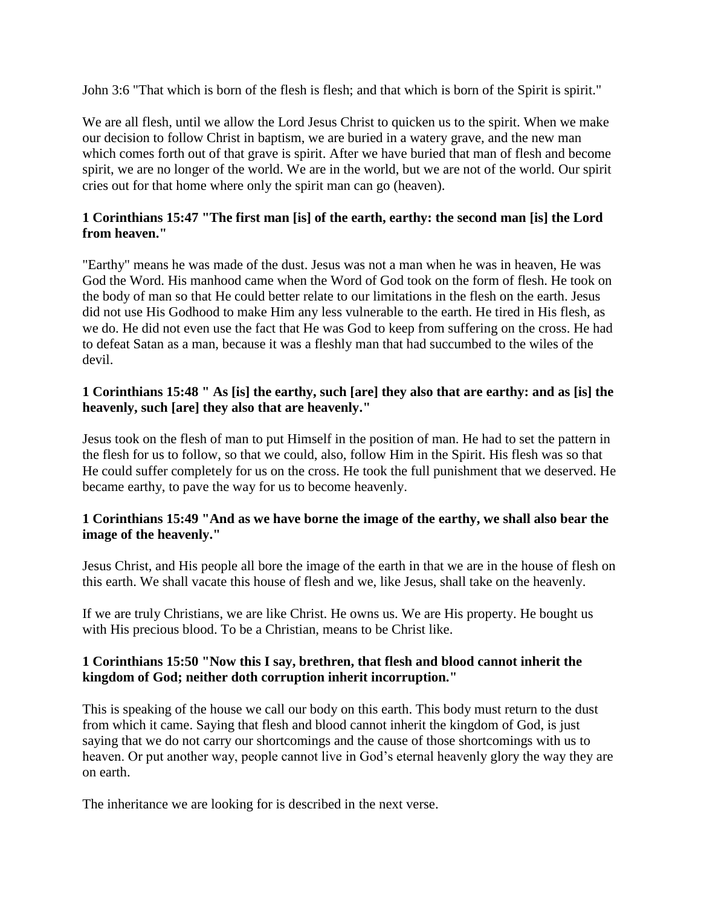John 3:6 "That which is born of the flesh is flesh; and that which is born of the Spirit is spirit."

We are all flesh, until we allow the Lord Jesus Christ to quicken us to the spirit. When we make our decision to follow Christ in baptism, we are buried in a watery grave, and the new man which comes forth out of that grave is spirit. After we have buried that man of flesh and become spirit, we are no longer of the world. We are in the world, but we are not of the world. Our spirit cries out for that home where only the spirit man can go (heaven).

# **1 Corinthians 15:47 "The first man [is] of the earth, earthy: the second man [is] the Lord from heaven."**

"Earthy" means he was made of the dust. Jesus was not a man when he was in heaven, He was God the Word. His manhood came when the Word of God took on the form of flesh. He took on the body of man so that He could better relate to our limitations in the flesh on the earth. Jesus did not use His Godhood to make Him any less vulnerable to the earth. He tired in His flesh, as we do. He did not even use the fact that He was God to keep from suffering on the cross. He had to defeat Satan as a man, because it was a fleshly man that had succumbed to the wiles of the devil.

#### **1 Corinthians 15:48 " As [is] the earthy, such [are] they also that are earthy: and as [is] the heavenly, such [are] they also that are heavenly."**

Jesus took on the flesh of man to put Himself in the position of man. He had to set the pattern in the flesh for us to follow, so that we could, also, follow Him in the Spirit. His flesh was so that He could suffer completely for us on the cross. He took the full punishment that we deserved. He became earthy, to pave the way for us to become heavenly.

# **1 Corinthians 15:49 "And as we have borne the image of the earthy, we shall also bear the image of the heavenly."**

Jesus Christ, and His people all bore the image of the earth in that we are in the house of flesh on this earth. We shall vacate this house of flesh and we, like Jesus, shall take on the heavenly.

If we are truly Christians, we are like Christ. He owns us. We are His property. He bought us with His precious blood. To be a Christian, means to be Christ like.

#### **1 Corinthians 15:50 "Now this I say, brethren, that flesh and blood cannot inherit the kingdom of God; neither doth corruption inherit incorruption."**

This is speaking of the house we call our body on this earth. This body must return to the dust from which it came. Saying that flesh and blood cannot inherit the kingdom of God, is just saying that we do not carry our shortcomings and the cause of those shortcomings with us to heaven. Or put another way, people cannot live in God's eternal heavenly glory the way they are on earth.

The inheritance we are looking for is described in the next verse.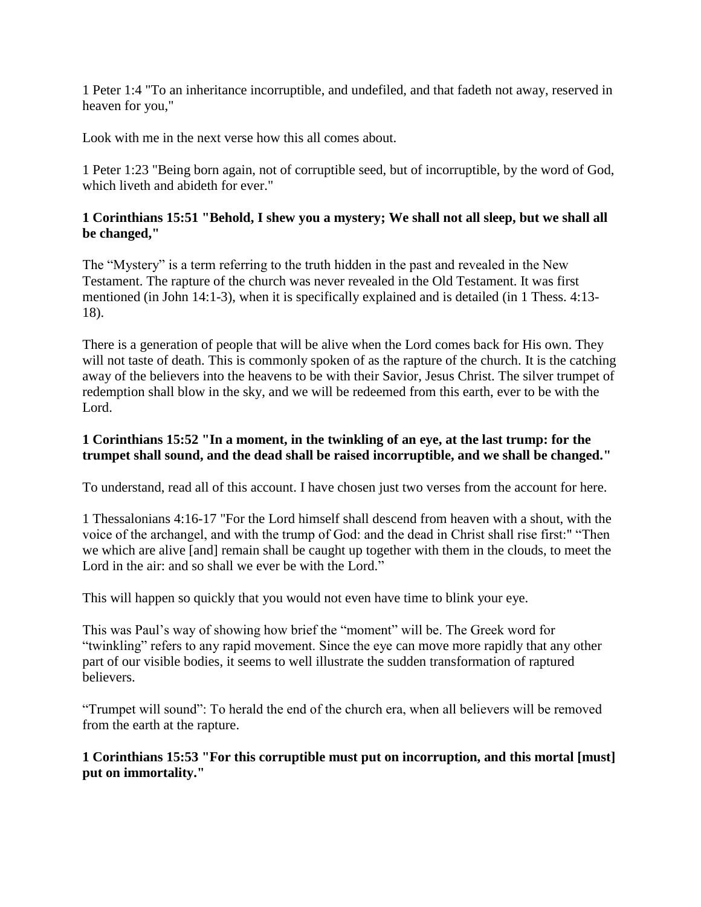1 Peter 1:4 "To an inheritance incorruptible, and undefiled, and that fadeth not away, reserved in heaven for you,"

Look with me in the next verse how this all comes about.

1 Peter 1:23 "Being born again, not of corruptible seed, but of incorruptible, by the word of God, which liveth and abideth for ever."

#### **1 Corinthians 15:51 "Behold, I shew you a mystery; We shall not all sleep, but we shall all be changed,"**

The "Mystery" is a term referring to the truth hidden in the past and revealed in the New Testament. The rapture of the church was never revealed in the Old Testament. It was first mentioned (in John 14:1-3), when it is specifically explained and is detailed (in 1 Thess. 4:13- 18).

There is a generation of people that will be alive when the Lord comes back for His own. They will not taste of death. This is commonly spoken of as the rapture of the church. It is the catching away of the believers into the heavens to be with their Savior, Jesus Christ. The silver trumpet of redemption shall blow in the sky, and we will be redeemed from this earth, ever to be with the Lord.

#### **1 Corinthians 15:52 "In a moment, in the twinkling of an eye, at the last trump: for the trumpet shall sound, and the dead shall be raised incorruptible, and we shall be changed."**

To understand, read all of this account. I have chosen just two verses from the account for here.

1 Thessalonians 4:16-17 "For the Lord himself shall descend from heaven with a shout, with the voice of the archangel, and with the trump of God: and the dead in Christ shall rise first:" "Then we which are alive [and] remain shall be caught up together with them in the clouds, to meet the Lord in the air: and so shall we ever be with the Lord."

This will happen so quickly that you would not even have time to blink your eye.

This was Paul's way of showing how brief the "moment" will be. The Greek word for "twinkling" refers to any rapid movement. Since the eye can move more rapidly that any other part of our visible bodies, it seems to well illustrate the sudden transformation of raptured believers.

"Trumpet will sound": To herald the end of the church era, when all believers will be removed from the earth at the rapture.

# **1 Corinthians 15:53 "For this corruptible must put on incorruption, and this mortal [must] put on immortality."**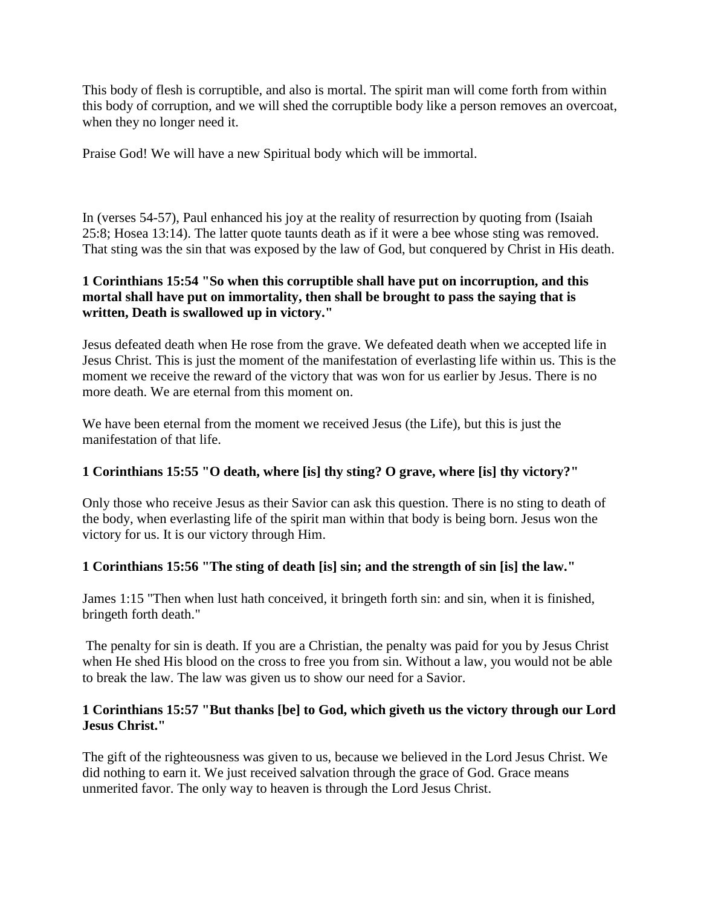This body of flesh is corruptible, and also is mortal. The spirit man will come forth from within this body of corruption, and we will shed the corruptible body like a person removes an overcoat, when they no longer need it.

Praise God! We will have a new Spiritual body which will be immortal.

In (verses 54-57), Paul enhanced his joy at the reality of resurrection by quoting from (Isaiah 25:8; Hosea 13:14). The latter quote taunts death as if it were a bee whose sting was removed. That sting was the sin that was exposed by the law of God, but conquered by Christ in His death.

# **1 Corinthians 15:54 "So when this corruptible shall have put on incorruption, and this mortal shall have put on immortality, then shall be brought to pass the saying that is written, Death is swallowed up in victory."**

Jesus defeated death when He rose from the grave. We defeated death when we accepted life in Jesus Christ. This is just the moment of the manifestation of everlasting life within us. This is the moment we receive the reward of the victory that was won for us earlier by Jesus. There is no more death. We are eternal from this moment on.

We have been eternal from the moment we received Jesus (the Life), but this is just the manifestation of that life.

# **1 Corinthians 15:55 "O death, where [is] thy sting? O grave, where [is] thy victory?"**

Only those who receive Jesus as their Savior can ask this question. There is no sting to death of the body, when everlasting life of the spirit man within that body is being born. Jesus won the victory for us. It is our victory through Him.

# **1 Corinthians 15:56 "The sting of death [is] sin; and the strength of sin [is] the law."**

James 1:15 "Then when lust hath conceived, it bringeth forth sin: and sin, when it is finished, bringeth forth death."

The penalty for sin is death. If you are a Christian, the penalty was paid for you by Jesus Christ when He shed His blood on the cross to free you from sin. Without a law, you would not be able to break the law. The law was given us to show our need for a Savior.

# **1 Corinthians 15:57 "But thanks [be] to God, which giveth us the victory through our Lord Jesus Christ."**

The gift of the righteousness was given to us, because we believed in the Lord Jesus Christ. We did nothing to earn it. We just received salvation through the grace of God. Grace means unmerited favor. The only way to heaven is through the Lord Jesus Christ.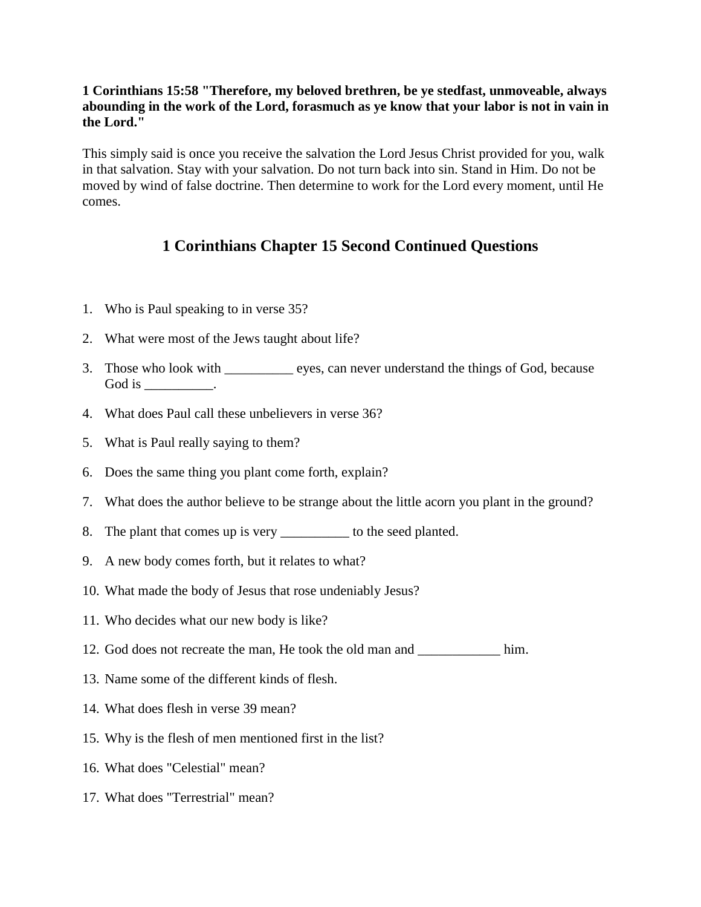#### **1 Corinthians 15:58 "Therefore, my beloved brethren, be ye stedfast, unmoveable, always abounding in the work of the Lord, forasmuch as ye know that your labor is not in vain in the Lord."**

This simply said is once you receive the salvation the Lord Jesus Christ provided for you, walk in that salvation. Stay with your salvation. Do not turn back into sin. Stand in Him. Do not be moved by wind of false doctrine. Then determine to work for the Lord every moment, until He comes.

# **1 Corinthians Chapter 15 Second Continued Questions**

- 1. Who is Paul speaking to in verse 35?
- 2. What were most of the Jews taught about life?
- 3. Those who look with \_\_\_\_\_\_\_\_\_\_ eyes, can never understand the things of God, because God is  $\_\_\_\_\_\_\_\$ .
- 4. What does Paul call these unbelievers in verse 36?
- 5. What is Paul really saying to them?
- 6. Does the same thing you plant come forth, explain?
- 7. What does the author believe to be strange about the little acorn you plant in the ground?
- 8. The plant that comes up is very \_\_\_\_\_\_\_\_\_\_\_ to the seed planted.
- 9. A new body comes forth, but it relates to what?
- 10. What made the body of Jesus that rose undeniably Jesus?
- 11. Who decides what our new body is like?
- 12. God does not recreate the man, He took the old man and \_\_\_\_\_\_\_\_\_\_\_\_ him.
- 13. Name some of the different kinds of flesh.
- 14. What does flesh in verse 39 mean?
- 15. Why is the flesh of men mentioned first in the list?
- 16. What does "Celestial" mean?
- 17. What does "Terrestrial" mean?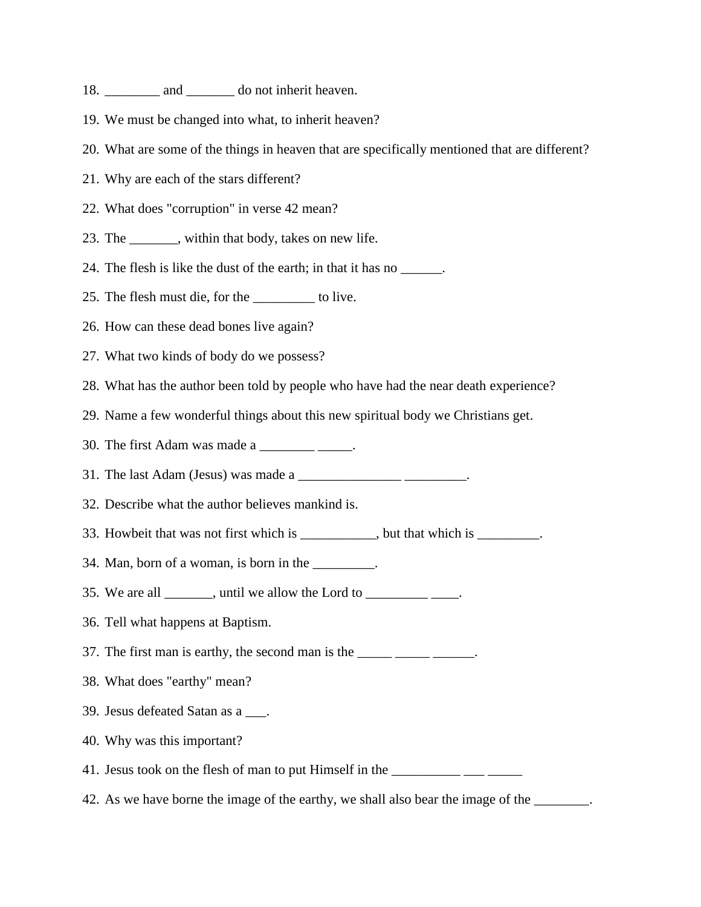- 18. \_\_\_\_\_\_\_\_\_\_\_ and \_\_\_\_\_\_\_\_\_ do not inherit heaven.
- 19. We must be changed into what, to inherit heaven?
- 20. What are some of the things in heaven that are specifically mentioned that are different?
- 21. Why are each of the stars different?
- 22. What does "corruption" in verse 42 mean?
- 23. The \_\_\_\_\_\_\_, within that body, takes on new life.
- 24. The flesh is like the dust of the earth; in that it has no \_\_\_\_\_\_.
- 25. The flesh must die, for the \_\_\_\_\_\_\_\_\_ to live.
- 26. How can these dead bones live again?
- 27. What two kinds of body do we possess?
- 28. What has the author been told by people who have had the near death experience?
- 29. Name a few wonderful things about this new spiritual body we Christians get.
- 30. The first Adam was made a \_\_\_\_\_\_\_\_\_\_\_\_.
- 31. The last Adam (Jesus) was made a \_\_\_\_\_\_\_\_\_\_\_\_\_\_\_ \_\_\_\_\_\_\_\_\_.
- 32. Describe what the author believes mankind is.
- 33. Howbeit that was not first which is \_\_\_\_\_\_\_\_, but that which is \_\_\_\_\_\_\_.
- 34. Man, born of a woman, is born in the  $\frac{1}{\sqrt{1-\frac{1}{\sqrt{1-\frac{1}{\sqrt{1-\frac{1}{\sqrt{1-\frac{1}{\sqrt{1-\frac{1}{\sqrt{1-\frac{1}{\sqrt{1-\frac{1}{\sqrt{1-\frac{1}{\sqrt{1-\frac{1}{\sqrt{1-\frac{1}{\sqrt{1-\frac{1}{\sqrt{1-\frac{1}{\sqrt{1-\frac{1}{\sqrt{1-\frac{1}{\sqrt{1-\frac{1}{\sqrt{1-\frac{1}{\sqrt{1-\frac{1}{\sqrt{1-\frac{1}{\sqrt{1-\frac{1}{\sqrt{$
- 35. We are all  $\qquad \qquad$ , until we allow the Lord to  $\qquad \qquad$ .
- 36. Tell what happens at Baptism.
- 37. The first man is earthy, the second man is the  $\frac{1}{\frac{1}{2}}$
- 38. What does "earthy" mean?
- 39. Jesus defeated Satan as a \_\_\_.
- 40. Why was this important?
- 41. Jesus took on the flesh of man to put Himself in the \_\_\_\_\_\_\_\_\_\_\_\_\_\_\_\_\_\_\_\_\_\_\_\_
- 42. As we have borne the image of the earthy, we shall also bear the image of the \_\_\_\_\_\_\_\_.